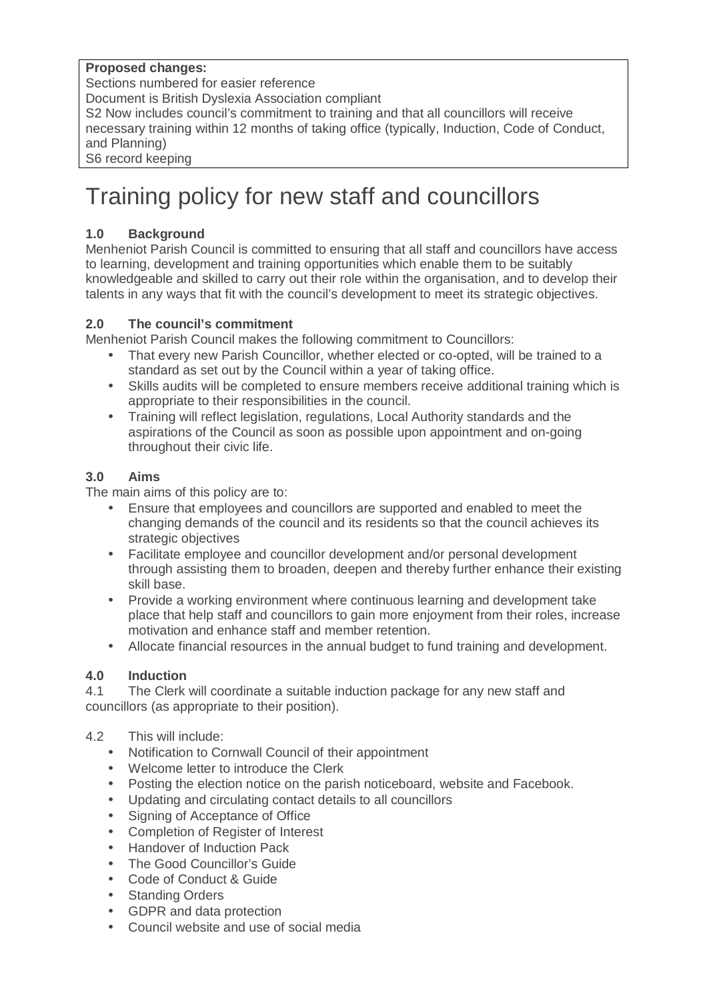#### **Proposed changes:**

Sections numbered for easier reference

Document is British Dyslexia Association compliant

S2 Now includes council's commitment to training and that all councillors will receive necessary training within 12 months of taking office (typically, Induction, Code of Conduct, and Planning)

S6 record keeping

# Training policy for new staff and councillors

# **1.0 Background**

Menheniot Parish Council is committed to ensuring that all staff and councillors have access to learning, development and training opportunities which enable them to be suitably knowledgeable and skilled to carry out their role within the organisation, and to develop their talents in any ways that fit with the council's development to meet its strategic objectives.

## **2.0 The council's commitment**

Menheniot Parish Council makes the following commitment to Councillors:

- That every new Parish Councillor, whether elected or co-opted, will be trained to a standard as set out by the Council within a year of taking office.
- Skills audits will be completed to ensure members receive additional training which is appropriate to their responsibilities in the council.
- Training will reflect legislation, regulations, Local Authority standards and the aspirations of the Council as soon as possible upon appointment and on-going throughout their civic life.

# **3.0 Aims**

The main aims of this policy are to:

- Ensure that employees and councillors are supported and enabled to meet the changing demands of the council and its residents so that the council achieves its strategic objectives
- Facilitate employee and councillor development and/or personal development through assisting them to broaden, deepen and thereby further enhance their existing skill base.
- Provide a working environment where continuous learning and development take place that help staff and councillors to gain more enjoyment from their roles, increase motivation and enhance staff and member retention.
- Allocate financial resources in the annual budget to fund training and development.

## **4.0 Induction**

4.1 The Clerk will coordinate a suitable induction package for any new staff and councillors (as appropriate to their position).

#### 4.2 This will include:

- Notification to Cornwall Council of their appointment
- Welcome letter to introduce the Clerk
- Posting the election notice on the parish noticeboard, website and Facebook.
- Updating and circulating contact details to all councillors
- Signing of Acceptance of Office
- Completion of Register of Interest
- Handover of Induction Pack
- The Good Councillor's Guide
- Code of Conduct & Guide
- Standing Orders
- GDPR and data protection
- Council website and use of social media